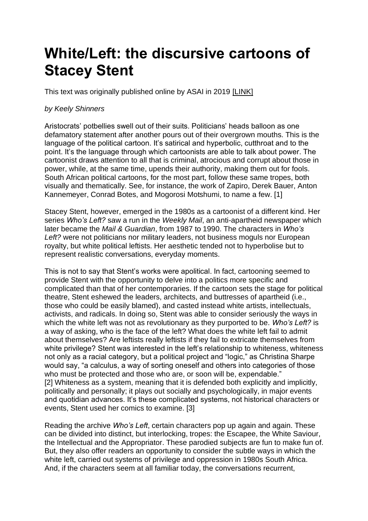# **White/Left: the discursive cartoons of Stacey Stent**

This text was originally published online by ASAI in 2019 [\[LINK\]](https://asai.co.za/cartoons-of-stacey-stent/)

## *by Keely Shinners*

Aristocrats' potbellies swell out of their suits. Politicians' heads balloon as one defamatory statement after another pours out of their overgrown mouths. This is the language of the political cartoon. It's satirical and hyperbolic, cutthroat and to the point. It's the language through which cartoonists are able to talk about power. The cartoonist draws attention to all that is criminal, atrocious and corrupt about those in power, while, at the same time, upends their authority, making them out for fools. South African political cartoons, for the most part, follow these same tropes, both visually and thematically. See, for instance, the work of Zapiro, Derek Bauer, Anton Kannemeyer, Conrad Botes, and Mogorosi Motshumi, to name a few. [1]

Stacey Stent, however, emerged in the 1980s as a cartoonist of a different kind. Her series *Who's Left?* saw a run in the *Weekly Mail*, an anti-apartheid newspaper which later became the *Mail & Guardian*, from 1987 to 1990. The characters in *Who's Left?* were not politicians nor military leaders, not business moguls nor European royalty, but white political leftists. Her aesthetic tended not to hyperbolise but to represent realistic conversations, everyday moments.

This is not to say that Stent's works were apolitical. In fact, cartooning seemed to provide Stent with the opportunity to delve into a politics more specific and complicated than that of her contemporaries. If the cartoon sets the stage for political theatre, Stent eshewed the leaders, architects, and buttresses of apartheid (i.e., those who could be easily blamed), and casted instead white artists, intellectuals, activists, and radicals. In doing so, Stent was able to consider seriously the ways in which the white left was not as revolutionary as they purported to be. *Who's Left?* is a way of asking, who is the face of the left? What does the white left fail to admit about themselves? Are leftists really leftists if they fail to extricate themselves from white privilege? Stent was interested in the left's relationship to whiteness, whiteness not only as a racial category, but a political project and "logic," as Christina Sharpe would say, "a calculus, a way of sorting oneself and others into categories of those who must be protected and those who are, or soon will be, expendable." [2] Whiteness as a system, meaning that it is defended both explicitly and implicitly, politically and personally; it plays out socially and psychologically, in major events and quotidian advances. It's these complicated systems, not historical characters or events, Stent used her comics to examine. [3]

Reading the archive *Who's Left*, certain characters pop up again and again. These can be divided into distinct, but interlocking, tropes: the Escapee, the White Saviour, the Intellectual and the Appropriator. These parodied subjects are fun to make fun of. But, they also offer readers an opportunity to consider the subtle ways in which the white left, carried out systems of privilege and oppression in 1980s South Africa. And, if the characters seem at all familiar today, the conversations recurrent,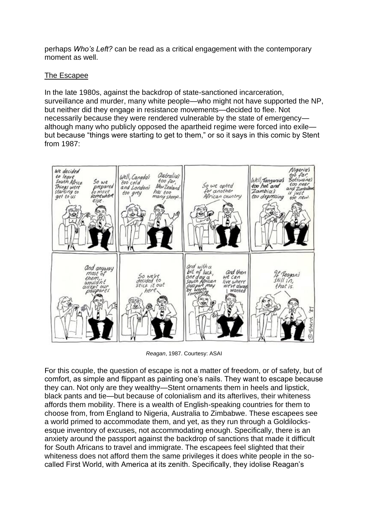perhaps *Who's Left?* can be read as a critical engagement with the contemporary moment as well.

# The Escapee

In the late 1980s, against the backdrop of state-sanctioned incarceration, surveillance and murder, many white people—who might not have supported the NP, but neither did they engage in resistance movements—decided to flee. Not necessarily because they were rendered vulnerable by the state of emergency although many who publicly opposed the apartheid regime were forced into exile but because "things were starting to get to them," or so it says in this comic by Stent from 1987:



*Reagan*, 1987. Courtesy: ASAI

For this couple, the question of escape is not a matter of freedom, or of safety, but of comfort, as simple and flippant as painting one's nails. They want to escape because they can. Not only are they wealthy—Stent ornaments them in heels and lipstick, black pants and tie—but because of colonialism and its afterlives, their whiteness affords them mobility. There is a wealth of English-speaking countries for them to choose from, from England to Nigeria, Australia to Zimbabwe. These escapees see a world primed to accommodate them, and yet, as they run through a Goldilocksesque inventory of excuses, not accommodating enough. Specifically, there is an anxiety around the passport against the backdrop of sanctions that made it difficult for South Africans to travel and immigrate. The escapees feel slighted that their whiteness does not afford them the same privileges it does white people in the socalled First World, with America at its zenith. Specifically, they idolise Reagan's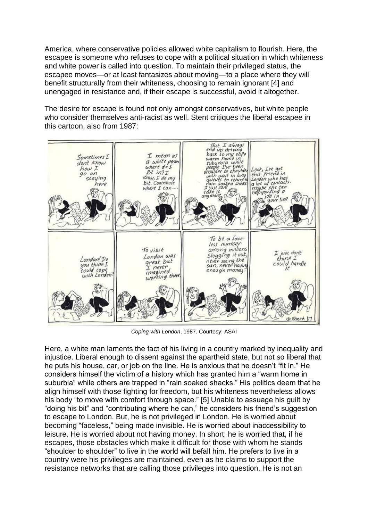America, where conservative policies allowed white capitalism to flourish. Here, the escapee is someone who refuses to cope with a political situation in which whiteness and white power is called into question. To maintain their privileged status, the escapee moves—or at least fantasizes about moving—to a place where they will benefit structurally from their whiteness, choosing to remain ignorant [4] and unengaged in resistance and, if their escape is successful, avoid it altogether.

The desire for escape is found not only amongst conservatives, but white people who consider themselves anti-racist as well. Stent critiques the liberal escapee in this cartoon, also from 1987:



*Coping with London*, 1987. Courtesy: ASAI

Here, a white man laments the fact of his living in a country marked by inequality and injustice. Liberal enough to dissent against the apartheid state, but not so liberal that he puts his house, car, or job on the line. He is anxious that he doesn't "fit in." He considers himself the victim of a history which has granted him a "warm home in suburbia" while others are trapped in "rain soaked shacks." His politics deem that he align himself with those fighting for freedom, but his whiteness nevertheless allows his body "to move with comfort through space." [5] Unable to assuage his guilt by "doing his bit" and "contributing where he can," he considers his friend's suggestion to escape to London. But, he is not privileged in London. He is worried about becoming "faceless," being made invisible. He is worried about inaccessibility to leisure. He is worried about not having money. In short, he is worried that, if he escapes, those obstacles which make it difficult for those with whom he stands "shoulder to shoulder" to live in the world will befall him. He prefers to live in a country were his privileges are maintained, even as he claims to support the resistance networks that are calling those privileges into question. He is not an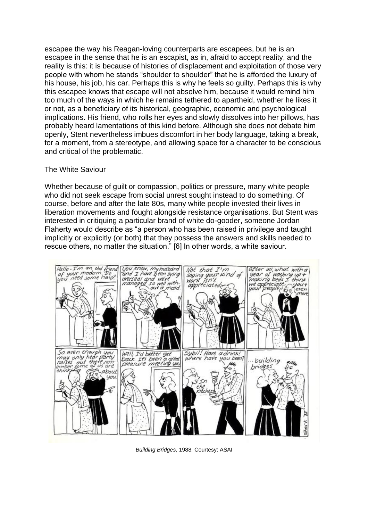escapee the way his Reagan-loving counterparts are escapees, but he is an escapee in the sense that he is an escapist, as in, afraid to accept reality, and the reality is this: it is because of histories of displacement and exploitation of those very people with whom he stands "shoulder to shoulder" that he is afforded the luxury of his house, his job, his car. Perhaps this is why he feels so guilty. Perhaps this is why this escapee knows that escape will not absolve him, because it would remind him too much of the ways in which he remains tethered to apartheid, whether he likes it or not, as a beneficiary of its historical, geographic, economic and psychological implications. His friend, who rolls her eyes and slowly dissolves into her pillows, has probably heard lamentations of this kind before. Although she does not debate him openly, Stent nevertheless imbues discomfort in her body language, taking a break, for a moment, from a stereotype, and allowing space for a character to be conscious and critical of the problematic.

#### The White Saviour

Whether because of guilt or compassion, politics or pressure, many white people who did not seek escape from social unrest sought instead to do something. Of course, before and after the late 80s, many white people invested their lives in liberation movements and fought alongside resistance organisations. But Stent was interested in critiquing a particular brand of white do-gooder, someone Jordan Flaherty would describe as "a person who has been raised in privilege and taught implicitly or explicitly (or both) that they possess the answers and skills needed to rescue others, no matter the situation." [6] In other words, a white saviour.



*Building Bridges*, 1988. Courtesy: ASAI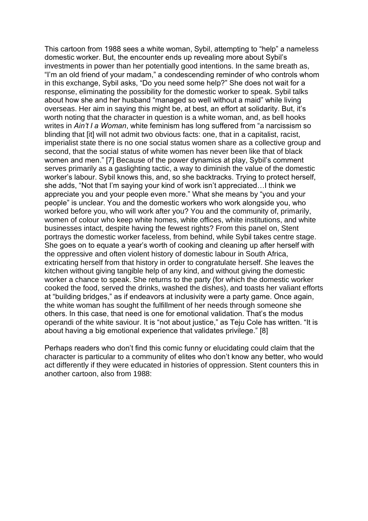This cartoon from 1988 sees a white woman, Sybil, attempting to "help" a nameless domestic worker. But, the encounter ends up revealing more about Sybil's investments in power than her potentially good intentions. In the same breath as, "I'm an old friend of your madam," a condescending reminder of who controls whom in this exchange, Sybil asks, "Do you need some help?" She does not wait for a response, eliminating the possibility for the domestic worker to speak. Sybil talks about how she and her husband "managed so well without a maid" while living overseas. Her aim in saying this might be, at best, an effort at solidarity. But, it's worth noting that the character in question is a white woman, and, as bell hooks writes in *Ain't I a Woman*, white feminism has long suffered from "a narcissism so blinding that [it] will not admit two obvious facts: one, that in a capitalist, racist, imperialist state there is no one social status women share as a collective group and second, that the social status of white women has never been like that of black women and men." [7] Because of the power dynamics at play, Sybil's comment serves primarily as a gaslighting tactic, a way to diminish the value of the domestic worker's labour. Sybil knows this, and, so she backtracks. Trying to protect herself, she adds, "Not that I'm saying your kind of work isn't appreciated…I think we appreciate you and your people even more." What she means by "you and your people" is unclear. You and the domestic workers who work alongside you, who worked before you, who will work after you? You and the community of, primarily, women of colour who keep white homes, white offices, white institutions, and white businesses intact, despite having the fewest rights? From this panel on, Stent portrays the domestic worker faceless, from behind, while Sybil takes centre stage. She goes on to equate a year's worth of cooking and cleaning up after herself with the oppressive and often violent history of domestic labour in South Africa, extricating herself from that history in order to congratulate herself. She leaves the kitchen without giving tangible help of any kind, and without giving the domestic worker a chance to speak. She returns to the party (for which the domestic worker cooked the food, served the drinks, washed the dishes), and toasts her valiant efforts at "building bridges," as if endeavors at inclusivity were a party game. Once again, the white woman has sought the fulfillment of her needs through someone she others. In this case, that need is one for emotional validation. That's the modus operandi of the white saviour. It is "not about justice," as Teju Cole has written. "It is about having a big emotional experience that validates privilege." [8]

Perhaps readers who don't find this comic funny or elucidating could claim that the character is particular to a community of elites who don't know any better, who would act differently if they were educated in histories of oppression. Stent counters this in another cartoon, also from 1988: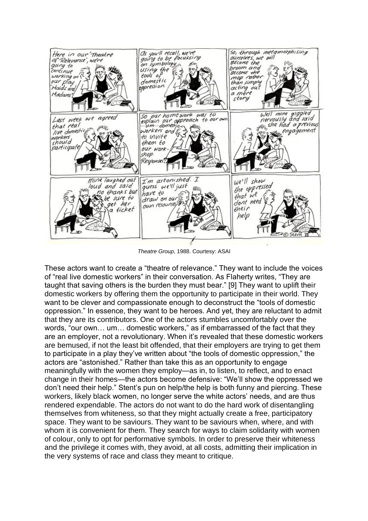

*Theatre Group*, 1988. Courtesy: ASAI

These actors want to create a "theatre of relevance." They want to include the voices of "real live domestic workers" in their conversation. As Flaherty writes, "They are taught that saving others is the burden they must bear." [9] They want to uplift their domestic workers by offering them the opportunity to participate in their world. They want to be clever and compassionate enough to deconstruct the "tools of domestic oppression." In essence, they want to be heroes. And yet, they are reluctant to admit that they are its contributors. One of the actors stumbles uncomfortably over the words, "our own… um… domestic workers," as if embarrassed of the fact that they are an employer, not a revolutionary. When it's revealed that these domestic workers are bemused, if not the least bit offended, that their employers are trying to get them to participate in a play they've written about "the tools of domestic oppression," the actors are "astonished." Rather than take this as an opportunity to engage meaningfully with the women they employ—as in, to listen, to reflect, and to enact change in their homes—the actors become defensive: "We'll show the oppressed we don't need their help." Stent's pun on help/the help is both funny and piercing. These workers, likely black women, no longer serve the white actors' needs, and are thus rendered expendable. The actors do not want to do the hard work of disentangling themselves from whiteness, so that they might actually create a free, participatory space. They want to be saviours. They want to be saviours when, where, and with whom it is convenient for them. They search for ways to claim solidarity with women of colour, only to opt for performative symbols. In order to preserve their whiteness and the privilege it comes with, they avoid, at all costs, admitting their implication in the very systems of race and class they meant to critique.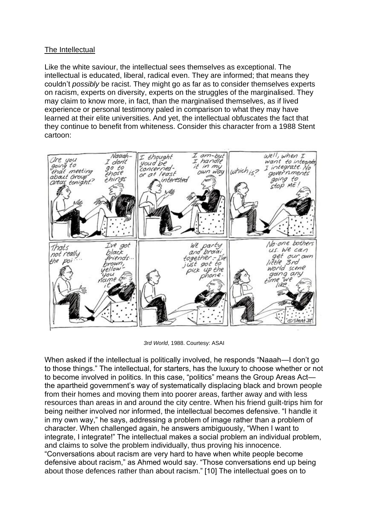## The Intellectual

Like the white saviour, the intellectual sees themselves as exceptional. The intellectual is educated, liberal, radical even. They are informed; that means they couldn't *possibly* be racist. They might go as far as to consider themselves experts on racism, experts on diversity, experts on the struggles of the marginalised. They may claim to know more, in fact, than the marginalised themselves, as if lived experience or personal testimony paled in comparison to what they may have learned at their elite universities. And yet, the intellectual obfuscates the fact that they continue to benefit from whiteness. Consider this character from a 1988 Stent cartoon:



*3rd World*, 1988. Courtesy: ASAI

When asked if the intellectual is politically involved, he responds "Naaah—I don't go to those things." The intellectual, for starters, has the luxury to choose whether or not to become involved in politics. In this case, "politics" means the Group Areas Act the apartheid government's way of systematically displacing black and brown people from their homes and moving them into poorer areas, farther away and with less resources than areas in and around the city centre. When his friend guilt-trips him for being neither involved nor informed, the intellectual becomes defensive. "I handle it in my own way," he says, addressing a problem of image rather than a problem of character. When challenged again, he answers ambiguously, "When I want to integrate, I integrate!" The intellectual makes a social problem an individual problem, and claims to solve the problem individually, thus proving his innocence. "Conversations about racism are very hard to have when white people become defensive about racism," as Ahmed would say. "Those conversations end up being about those defences rather than about racism." [10] The intellectual goes on to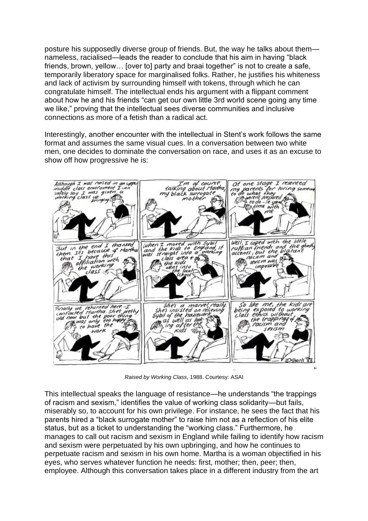posture his supposedly diverse group of friends. But, the way he talks about them nameless, racialised—leads the reader to conclude that his aim in having "black friends, brown, yellow… [over to] party and braai together" is not to create a safe, temporarily liberatory space for marginalised folks. Rather, he justifies his whiteness and lack of activism by surrounding himself with tokens, through which he can congratulate himself. The intellectual ends his argument with a flippant comment about how he and his friends "can get our own little 3rd world scene going any time we like," proving that the intellectual sees diverse communities and inclusive connections as more of a fetish than a radical act.

Interestingly, another encounter with the intellectual in Stent's work follows the same format and assumes the same visual cues. In a conversation between two white men, one decides to dominate the conversation on race, and uses it as an excuse to show off how progressive he is:



*Raised by Working Class*, 1988. Courtesy: ASAI

This intellectual speaks the language of resistance—he understands "the trappings of racism and sexism," identifies the value of working class solidarity—but fails, miserably so, to account for his own privilege. For instance, he sees the fact that his parents hired a "black surrogate mother" to raise him not as a reflection of his elite status, but as a ticket to understanding the "working class." Furthermore, he manages to call out racism and sexism in England while failing to identify how racism and sexism were perpetuated by his own upbringing, and how he continues to perpetuate racism and sexism in his own home. Martha is a woman objectified in his eyes, who serves whatever function he needs: first, mother; then, peer; then, employee. Although this conversation takes place in a different industry from the art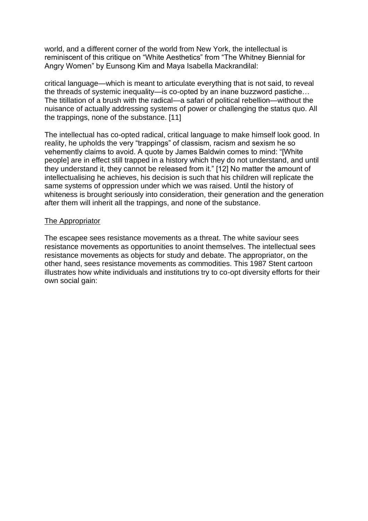world, and a different corner of the world from New York, the intellectual is reminiscent of this critique on "White Aesthetics" from "The Whitney Biennial for Angry Women" by Eunsong Kim and Maya Isabella Mackrandilal:

critical language—which is meant to articulate everything that is not said, to reveal the threads of systemic inequality—is co-opted by an inane buzzword pastiche… The titillation of a brush with the radical—a safari of political rebellion—without the nuisance of actually addressing systems of power or challenging the status quo. All the trappings, none of the substance. [11]

The intellectual has co-opted radical, critical language to make himself look good. In reality, he upholds the very "trappings" of classism, racism and sexism he so vehemently claims to avoid. A quote by James Baldwin comes to mind: "[White people] are in effect still trapped in a history which they do not understand, and until they understand it, they cannot be released from it." [12] No matter the amount of intellectualising he achieves, his decision is such that his children will replicate the same systems of oppression under which we was raised. Until the history of whiteness is brought seriously into consideration, their generation and the generation after them will inherit all the trappings, and none of the substance.

### The Appropriator

The escapee sees resistance movements as a threat. The white saviour sees resistance movements as opportunities to anoint themselves. The intellectual sees resistance movements as objects for study and debate. The appropriator, on the other hand, sees resistance movements as commodities. This 1987 Stent cartoon illustrates how white individuals and institutions try to co-opt diversity efforts for their own social gain: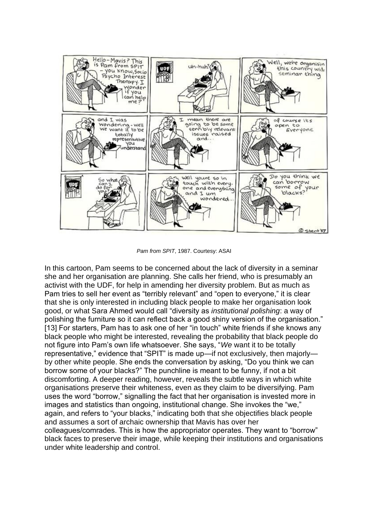

*Pam from SPIT*, 1987. Courtesy: ASAI

In this cartoon, Pam seems to be concerned about the lack of diversity in a seminar she and her organisation are planning. She calls her friend, who is presumably an activist with the UDF, for help in amending her diversity problem. But as much as Pam tries to sell her event as "terribly relevant" and "open to everyone," it is clear that she is only interested in including black people to make her organisation look good, or what Sara Ahmed would call "diversity as *institutional polishing*: a way of polishing the furniture so it can reflect back a good shiny version of the organisation." [13] For starters, Pam has to ask one of her "in touch" white friends if she knows any black people who might be interested, revealing the probability that black people do not figure into Pam's own life whatsoever. She says, "*We* want it to be totally representative," evidence that "SPIT" is made up—if not exclusively, then majorly by other white people. She ends the conversation by asking, "Do you think we can borrow some of your blacks?" The punchline is meant to be funny, if not a bit discomforting. A deeper reading, however, reveals the subtle ways in which white organisations preserve their whiteness, even as they claim to be diversifying. Pam uses the word "borrow," signalling the fact that her organisation is invested more in images and statistics than ongoing, institutional change. She invokes the "we," again, and refers to "your blacks," indicating both that she objectifies black people and assumes a sort of archaic ownership that Mavis has over her colleagues/comrades. This is how the appropriator operates. They want to "borrow" black faces to preserve their image, while keeping their institutions and organisations under white leadership and control.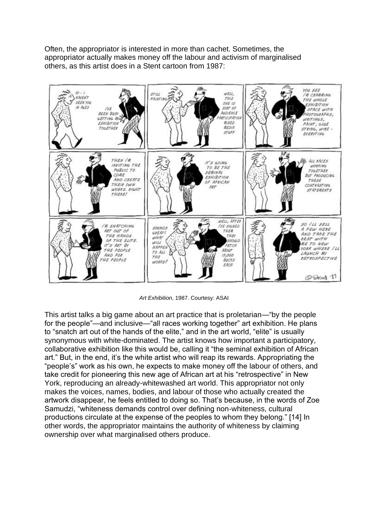Often, the appropriator is interested in more than cachet. Sometimes, the appropriator actually makes money off the labour and activism of marginalised others, as this artist does in a Stent cartoon from 1987:



*Art Exhibition*, 1987. Courtesy: ASAI

This artist talks a big game about an art practice that is proletarian—"by the people for the people"—and inclusive—"all races working together" art exhibition. He plans to "snatch art out of the hands of the elite," and in the art world, "elite" is usually synonymous with white-dominated. The artist knows how important a participatory, collaborative exhibition like this would be, calling it "the seminal exhibition of African art." But, in the end, it's the white artist who will reap its rewards. Appropriating the "people's" work as his own, he expects to make money off the labour of others, and take credit for pioneering this new age of African art at his "retrospective" in New York, reproducing an already-whitewashed art world. This appropriator not only makes the voices, names, bodies, and labour of those who actually created the artwork disappear, he feels entitled to doing so. That's because, in the words of Zoe Samudzi, "whiteness demands control over defining non-whiteness, cultural productions circulate at the expense of the peoples to whom they belong." [14] In other words, the appropriator maintains the authority of whiteness by claiming ownership over what marginalised others produce.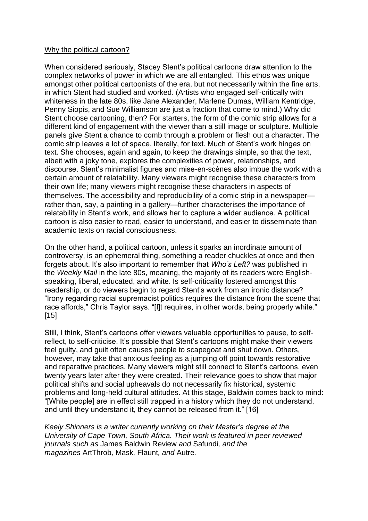#### Why the political cartoon?

When considered seriously, Stacey Stent's political cartoons draw attention to the complex networks of power in which we are all entangled. This ethos was unique amongst other political cartoonists of the era, but not necessarily within the fine arts, in which Stent had studied and worked. (Artists who engaged self-critically with whiteness in the late 80s, like Jane Alexander, Marlene Dumas, William Kentridge, Penny Siopis, and Sue Williamson are just a fraction that come to mind.) Why did Stent choose cartooning, then? For starters, the form of the comic strip allows for a different kind of engagement with the viewer than a still image or sculpture. Multiple panels give Stent a chance to comb through a problem or flesh out a character. The comic strip leaves a lot of space, literally, for text. Much of Stent's work hinges on text. She chooses, again and again, to keep the drawings simple, so that the text, albeit with a joky tone, explores the complexities of power, relationships, and discourse. Stent's minimalist figures and mise-en-scènes also imbue the work with a certain amount of relatability. Many viewers might recognise these characters from their own life; many viewers might recognise these characters in aspects of themselves. The accessibility and reproducibility of a comic strip in a newspaper rather than, say, a painting in a gallery—further characterises the importance of relatability in Stent's work, and allows her to capture a wider audience. A political cartoon is also easier to read, easier to understand, and easier to disseminate than academic texts on racial consciousness.

On the other hand, a political cartoon, unless it sparks an inordinate amount of controversy, is an ephemeral thing, something a reader chuckles at once and then forgets about. It's also important to remember that *Who's Left?* was published in the *Weekly Mail* in the late 80s, meaning, the majority of its readers were Englishspeaking, liberal, educated, and white. Is self-criticality fostered amongst this readership, or do viewers begin to regard Stent's work from an ironic distance? "Irony regarding racial supremacist politics requires the distance from the scene that race affords," Chris Taylor says. "[I]t requires, in other words, being properly white." [15]

Still, I think, Stent's cartoons offer viewers valuable opportunities to pause, to selfreflect, to self-criticise. It's possible that Stent's cartoons might make their viewers feel guilty, and guilt often causes people to scapegoat and shut down. Others, however, may take that anxious feeling as a jumping off point towards restorative and reparative practices. Many viewers might still connect to Stent's cartoons, even twenty years later after they were created. Their relevance goes to show that major political shifts and social upheavals do not necessarily fix historical, systemic problems and long-held cultural attitudes. At this stage, Baldwin comes back to mind: "[White people] are in effect still trapped in a history which they do not understand, and until they understand it, they cannot be released from it." [16]

*Keely Shinners is a writer currently working on their Master's degree at the University of Cape Town, South Africa. Their work is featured in peer reviewed journals such as* James Baldwin Review *and* Safundi*, and the magazines* ArtThrob*,* Mask*,* Flaunt*, and* Autre*.*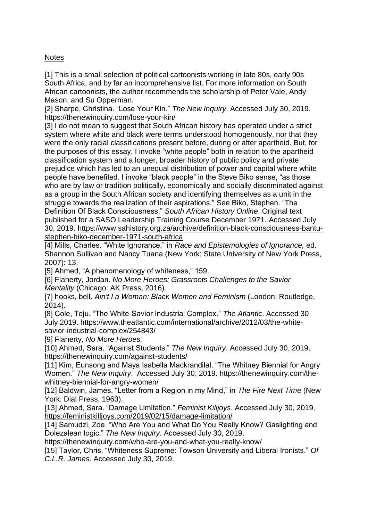# **Notes**

[1] This is a small selection of political cartoonists working in late 80s, early 90s South Africa, and by far an incomprehensive list. For more information on South African cartoonists, the author recommends the scholarship of Peter Vale, Andy Mason, and Su Opperman.

[2] Sharpe, Christina. "Lose Your Kin." *The New Inquiry*. Accessed July 30, 2019. https://thenewinquiry.com/lose-your-kin/

[3] I do not mean to suggest that South African history has operated under a strict system where white and black were terms understood homogenously, nor that they were the only racial classifications present before, during or after apartheid. But, for the purposes of this essay, I invoke "white people" both in relation to the apartheid classification system and a longer, broader history of public policy and private prejudice which has led to an unequal distribution of power and capital where white people have benefited. I invoke "black people" in the Steve Biko sense, "as those who are by law or tradition politically, economically and socially discriminated against as a group in the South African society and identifying themselves as a unit in the struggle towards the realization of their aspirations." See Biko, Stephen. "The Definition Of Black Consciousness." *South African History Online*. Original text published for a SASO Leadership Training Course December 1971. Accessed July 30, 2019. [https://www.sahistory.org.za/archive/definition-black-consciousness-bantu](https://www.sahistory.org.za/archive/definition-black-consciousness-bantu-stephen-biko-december-1971-south-africa)[stephen-biko-december-1971-south-africa](https://www.sahistory.org.za/archive/definition-black-consciousness-bantu-stephen-biko-december-1971-south-africa)

[4] Mills, Charles. "White Ignorance," in *Race and Epistemologies of Ignorance,* ed. Shannon Sullivan and Nancy Tuana (New York: State University of New York Press, 2007): 13.

[5] Ahmed, "A phenomenology of whiteness," 159.

[6] Flaherty, Jordan. *No More Heroes: Grassroots Challenges to the Savior Mentality* (Chicago: AK Press, 2016).

[7] hooks, bell. *Ain't I a Woman: Black Women and Feminism* (London: Routledge, 2014).

[8] Cole, Teju. "The White-Savior Industrial Complex." *The Atlantic*. Accessed 30 July 2019. https://www.theatlantic.com/international/archive/2012/03/the-whitesavior-industrial-complex/254843/

[9] Flaherty, *No More Heroes.*

[10] Ahmed, Sara. "Against Students." *The New Inquiry*. Accessed July 30, 2019. https://thenewinquiry.com/against-students/

[11] Kim, Eunsong and Maya Isabella Mackrandilal. "The Whitney Biennial for Angry Women." *The New Inquiry*. Accessed July 30, 2019. https://thenewinquiry.com/thewhitney-biennial-for-angry-women/

[12] Baldwin, James. "Letter from a Region in my Mind," in *The Fire Next Tim*e (New York: Dial Press, 1963).

[13] Ahmed, Sara. "Damage Limitation." *Feminist Killjoys*. Accessed July 30, 2019. <https://feministkilljoys.com/2019/02/15/damage-limitation/>

[14] Samudzi, Zoe. "Who Are You and What Do You Really Know? Gaslighting and Dolezalean logic." *The New Inquiry*. Accessed July 30, 2019.

https://thenewinquiry.com/who-are-you-and-what-you-really-know/

[15] Taylor, Chris. "Whiteness Supreme: Towson University and Liberal Ironists." *Of C.L.R. James*. Accessed July 30, 2019.